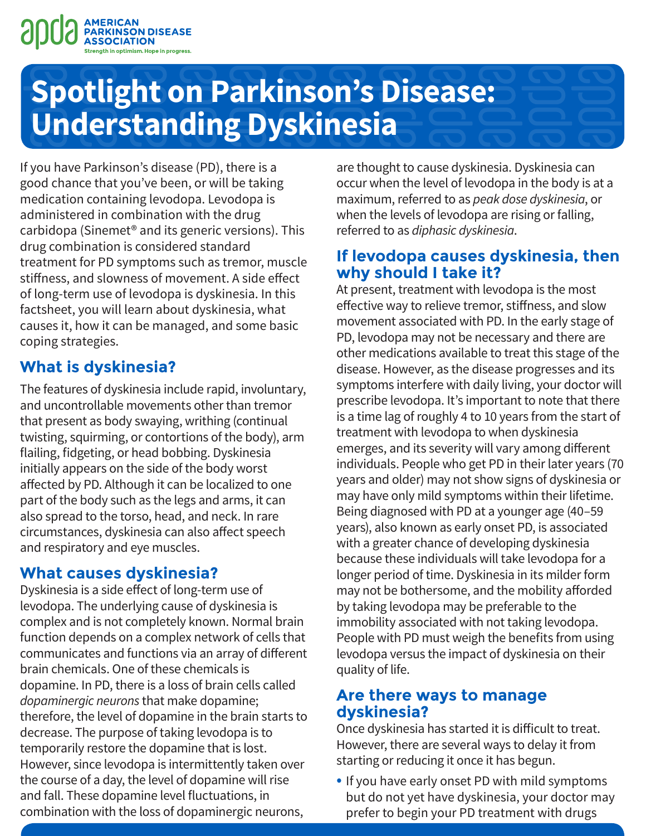

# **Spotlight on Parkinson's Disease: Understanding Dyskinesia**

If you have Parkinson's disease (PD), there is a good chance that you've been, or will be taking medication containing levodopa. Levodopa is administered in combination with the drug carbidopa (Sinemet® and its generic versions). This drug combination is considered standard treatment for PD symptoms such as tremor, muscle stiffness, and slowness of movement. A side effect of long-term use of levodopa is dyskinesia. In this factsheet, you will learn about dyskinesia, what causes it, how it can be managed, and some basic coping strategies.

## **What is dyskinesia?**

The features of dyskinesia include rapid, involuntary, and uncontrollable movements other than tremor that present as body swaying, writhing (continual twisting, squirming, or contortions of the body), arm flailing, fidgeting, or head bobbing. Dyskinesia initially appears on the side of the body worst affected by PD. Although it can be localized to one part of the body such as the legs and arms, it can also spread to the torso, head, and neck. In rare circumstances, dyskinesia can also affect speech and respiratory and eye muscles.

## **What causes dyskinesia?**

Dyskinesia is a side effect of long-term use of levodopa. The underlying cause of dyskinesia is complex and is not completely known. Normal brain function depends on a complex network of cells that communicates and functions via an array of different brain chemicals. One of these chemicals is dopamine. In PD, there is a loss of brain cells called *dopaminergic neurons* that make dopamine; therefore, the level of dopamine in the brain starts to decrease. The purpose of taking levodopa is to temporarily restore the dopamine that is lost. However, since levodopa is intermittently taken over the course of a day, the level of dopamine will rise and fall. These dopamine level fluctuations, in combination with the loss of dopaminergic neurons,

are thought to cause dyskinesia. Dyskinesia can occur when the level of levodopa in the body is at a maximum, referred to as *peak dose dyskinesia*, or when the levels of levodopa are rising or falling, referred to as *diphasic dyskinesia*.

#### **If levodopa causes dyskinesia, then why should I take it?**

At present, treatment with levodopa is the most effective way to relieve tremor, stiffness, and slow movement associated with PD. In the early stage of PD, levodopa may not be necessary and there are other medications available to treat this stage of the disease. However, as the disease progresses and its symptoms interfere with daily living, your doctor will prescribe levodopa. It's important to note that there is a time lag of roughly 4 to 10 years from the start of treatment with levodopa to when dyskinesia emerges, and its severity will vary among different individuals. People who get PD in their later years (70 years and older) may not show signs of dyskinesia or may have only mild symptoms within their lifetime. Being diagnosed with PD at a younger age (40–59 years), also known as early onset PD, is associated with a greater chance of developing dyskinesia because these individuals will take levodopa for a longer period of time. Dyskinesia in its milder form may not be bothersome, and the mobility afforded by taking levodopa may be preferable to the immobility associated with not taking levodopa. People with PD must weigh the benefits from using levodopa versus the impact of dyskinesia on their quality of life.

#### **Are there ways to manage dyskinesia?**

Once dyskinesia has started it is difficult to treat. However, there are several ways to delay it from starting or reducing it once it has begun.

• If you have early onset PD with mild symptoms but do not yet have dyskinesia, your doctor may prefer to begin your PD treatment with drugs